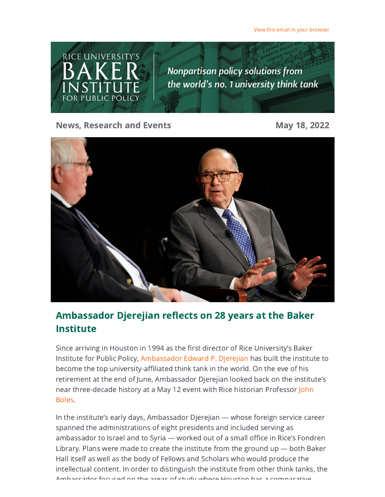View this email in your [browser](https://riceconnect.rice.edu/emailviewonwebpage.aspx?erid=8df9da56-b774-44c0-af90-ebd2d8ebd2dc&trid=8df9da56-b774-44c0-af90-ebd2d8ebd2dc)

**RICE UNIVERSITY'S Nonpartisan policy solutions from** the world's no. 1 university think tank IS I

News, Research and Events May 18, 2022



# Ambassador Djerejian reflects on 28 years at the Baker Institute

Since arriving in Houston in 1994 as the first director of Rice University's Baker Institute for Public Policy, [Ambassador](https://riceconnect.rice.edu/page.redir?target=https%3a%2f%2fwww.bakerinstitute.org%2fexperts%2fedward-p-djerejian%2f&srcid=284738&srctid=1&erid=8df9da56-b774-44c0-af90-ebd2d8ebd2dc&trid=8df9da56-b774-44c0-af90-ebd2d8ebd2dc) Edward P. Djerejian has built the institute to become the top university-affiliated think tank in the world. On the eve of his retirement at the end of June, Ambassador Djerejian looked back on the institute's near [three-decade](https://riceconnect.rice.edu/page.redir?target=https%3a%2f%2fprofiles.rice.edu%2ffaculty%2fjohn-boles&srcid=284738&srctid=1&erid=8df9da56-b774-44c0-af90-ebd2d8ebd2dc&trid=8df9da56-b774-44c0-af90-ebd2d8ebd2dc) history at a May 12 event with Rice historian Professor John Boles.

In the institute's early days, Ambassador Djerejian — whose foreign service career spanned the administrations of eight presidents and included serving as ambassador to Israel and to Syria — worked out of a small office in Rice's Fondren Library. Plans were made to create the institute from the ground up — both Baker Hall itself as well as the body of Fellows and Scholars who would produce the intellectual content. In order to distinguish the institute from other think tanks, the Ambassador focused on the areas of study where Houston has a comparative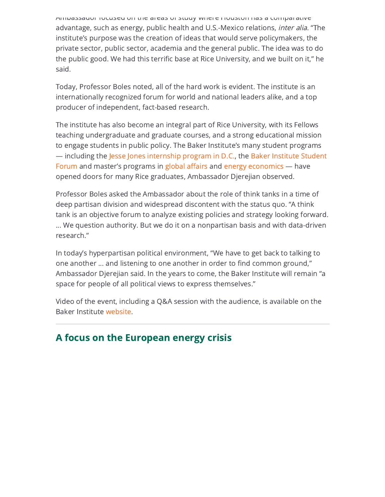Ambassador focused on the areas of study where Houston has a comparative advantage, such as energy, public health and U.S.-Mexico relations, inter alia. "The institute's purpose was the creation of ideas that would serve policymakers, the private sector, public sector, academia and the general public. The idea was to do the public good. We had this terrific base at Rice University, and we built on it," he said.

Today, Professor Boles noted, all of the hard work is evident. The institute is an internationally recognized forum for world and national leaders alike, and a top producer of independent, fact-based research.

The institute has also become an integral part of Rice University, with its Fellows teaching undergraduate and graduate courses, and a strong educational mission to engage students in public policy. The Baker Institute's many student programs — including the Jesse Jones [internship](https://riceconnect.rice.edu/page.redir?target=https%3a%2f%2fwww.bakerinstitute.org%2fstudents%2fjesse-jones-leadership-center-summer-in-dc-policy-research-internship-program%2f&srcid=284738&srctid=1&erid=8df9da56-b774-44c0-af90-ebd2d8ebd2dc&trid=8df9da56-b774-44c0-af90-ebd2d8ebd2dc) program in D.C., the Baker Institute Student Forum and master's programs in global [affairs](https://riceconnect.rice.edu/page.redir?target=https%3a%2f%2fwww.bakerinstitute.org%2fbaker-institute-social-sciences-launch-masters-in-global-affairs-program%2f&srcid=284738&srctid=1&erid=8df9da56-b774-44c0-af90-ebd2d8ebd2dc&trid=8df9da56-b774-44c0-af90-ebd2d8ebd2dc) and energy [economics](https://riceconnect.rice.edu/page.redir?target=https%3a%2f%2fwww.bakerinstitute.org%2fstudents%2fbaker-institute-student-forum%2f&srcid=284738&srctid=1&erid=8df9da56-b774-44c0-af90-ebd2d8ebd2dc&trid=8df9da56-b774-44c0-af90-ebd2d8ebd2dc) — have opened doors for many Rice graduates, Ambassador Djerejian observed.

Professor Boles asked the Ambassador about the role of think tanks in a time of deep partisan division and widespread discontent with the status quo. "A think tank is an objective forum to analyze existing policies and strategy looking forward. ... We question authority. But we do it on a nonpartisan basis and with data-driven research."

In today's hyperpartisan political environment, "We have to get back to talking to one another ... and listening to one another in order to find common ground," Ambassador Djerejian said. In the years to come, the Baker Institute will remain "a space for people of all political views to express themselves."

Video of the event, including a Q&A session with the audience, is available on the Baker Institute [website](https://riceconnect.rice.edu/page.redir?target=https%3a%2f%2fwww.bakerinstitute.org%2fevents%2f2308%2f&srcid=284738&srctid=1&erid=8df9da56-b774-44c0-af90-ebd2d8ebd2dc&trid=8df9da56-b774-44c0-af90-ebd2d8ebd2dc).

## A focus on the European energy crisis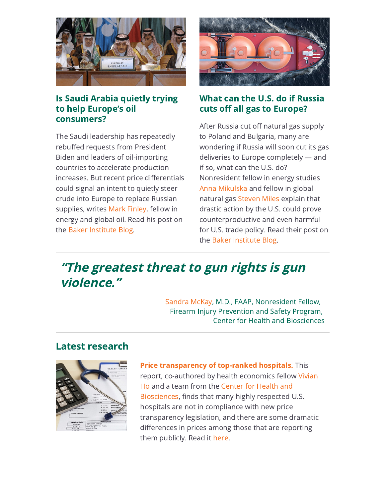

### Is Saudi Arabia quietly trying to help Europe's oil consumers?

The Saudi leadership has repeatedly rebuffed requests from President Biden and leaders of oil-importing countries to accelerate production increases. But recent price differentials could signal an intent to quietly steer crude into Europe to replace Russian supplies, writes Mark [Finley](https://riceconnect.rice.edu/page.redir?target=https%3a%2f%2fwww.bakerinstitute.org%2fexperts%2fmark-finley%2f&srcid=284738&srctid=1&erid=8df9da56-b774-44c0-af90-ebd2d8ebd2dc&trid=8df9da56-b774-44c0-af90-ebd2d8ebd2dc), fellow in energy and global oil. Read his post on the Baker [Institute](https://riceconnect.rice.edu/page.redir?target=https%3a%2f%2fblog.bakerinstitute.org%2f2022%2f05%2f04%2fis-saudi-arabia-quietly-trying-to-help-europes-oil-consumers%2f&srcid=284738&srctid=1&erid=8df9da56-b774-44c0-af90-ebd2d8ebd2dc&trid=8df9da56-b774-44c0-af90-ebd2d8ebd2dc) Blog.



### What can the U.S. do if Russia cuts off all gas to Europe?

After Russia cut off natural gas supply to Poland and Bulgaria, many are wondering if Russia will soon cut its gas deliveries to Europe completely — and if so, what can the U.S. do? Nonresident fellow in energy studies Anna [Mikulska](https://riceconnect.rice.edu/page.redir?target=https%3a%2f%2fwww.bakerinstitute.org%2fexperts%2fanna-mikulska%2f&srcid=284738&srctid=1&erid=8df9da56-b774-44c0-af90-ebd2d8ebd2dc&trid=8df9da56-b774-44c0-af90-ebd2d8ebd2dc) and fellow in global natural gas [Steven](https://riceconnect.rice.edu/page.redir?target=https%3a%2f%2fwww.bakerinstitute.org%2fexperts%2fsteven-miles%2f&srcid=284738&srctid=1&erid=8df9da56-b774-44c0-af90-ebd2d8ebd2dc&trid=8df9da56-b774-44c0-af90-ebd2d8ebd2dc) Miles explain that drastic action by the U.S. could prove counterproductive and even harmful for U.S. trade policy. Read their post on the Baker [Institute](https://riceconnect.rice.edu/page.redir?target=https%3a%2f%2fblog.bakerinstitute.org%2f2022%2f05%2f02%2fu-s-lng-gaslift-floods-european-terminals-ahead-of-russia-gas-cutoff%2f&srcid=284738&srctid=1&erid=8df9da56-b774-44c0-af90-ebd2d8ebd2dc&trid=8df9da56-b774-44c0-af90-ebd2d8ebd2dc) Blog.

# "The greatest threat to gun rights is gun violence."

[Sandra](https://riceconnect.rice.edu/page.redir?target=https%3a%2f%2fwww.bakerinstitute.org%2fexperts%2fsandra-mckay%2f&srcid=284738&srctid=1&erid=8df9da56-b774-44c0-af90-ebd2d8ebd2dc&trid=8df9da56-b774-44c0-af90-ebd2d8ebd2dc) McKay, M.D., FAAP, Nonresident Fellow, Firearm Injury Prevention and Safety Program, Center for Health and Biosciences

### Latest research



Price [transparency](https://riceconnect.rice.edu/page.redir?target=https%3a%2f%2fwww.bakerinstitute.org%2ffiles%2f18327%2f&srcid=284738&srctid=1&erid=8df9da56-b774-44c0-af90-ebd2d8ebd2dc&trid=8df9da56-b774-44c0-af90-ebd2d8ebd2dc) of top-ranked hospitals. This report, [co-authored](https://riceconnect.rice.edu/page.redir?target=https%3a%2f%2fwww.bakerinstitute.org%2fexperts%2fvivian-ho%2f&srcid=284738&srctid=1&erid=8df9da56-b774-44c0-af90-ebd2d8ebd2dc&trid=8df9da56-b774-44c0-af90-ebd2d8ebd2dc) by health economics fellow Vivian Ho and a team from the Center for Health and [Biosciences,](https://riceconnect.rice.edu/page.redir?target=https%3a%2f%2fwww.bakerinstitute.org%2fcenter-for-health-and-biosciences%2f&srcid=284738&srctid=1&erid=8df9da56-b774-44c0-af90-ebd2d8ebd2dc&trid=8df9da56-b774-44c0-af90-ebd2d8ebd2dc) finds that many highly respected U.S. hospitals are not in compliance with new price transparency legislation, and there are some dramatic differences in prices among those that are reporting them publicly. Read it [here.](https://riceconnect.rice.edu/page.redir?target=https%3a%2f%2fwww.bakerinstitute.org%2ffiles%2f18327%2f&srcid=284738&srctid=1&erid=8df9da56-b774-44c0-af90-ebd2d8ebd2dc&trid=8df9da56-b774-44c0-af90-ebd2d8ebd2dc)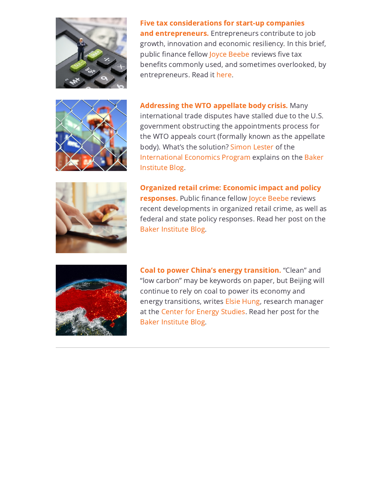

Five tax considerations for start-up companies and [entrepreneurs.](https://riceconnect.rice.edu/page.redir?target=https%3a%2f%2fwww.bakerinstitute.org%2ffiles%2f18321%2f&srcid=284738&srctid=1&erid=8df9da56-b774-44c0-af90-ebd2d8ebd2dc&trid=8df9da56-b774-44c0-af90-ebd2d8ebd2dc) Entrepreneurs contribute to job growth, innovation and economic resiliency. In this brief, public finance fellow Joyce [Beebe](https://riceconnect.rice.edu/page.redir?target=https%3a%2f%2fwww.bakerinstitute.org%2fexperts%2fjoyce-beebe%2f&srcid=284738&srctid=1&erid=8df9da56-b774-44c0-af90-ebd2d8ebd2dc&trid=8df9da56-b774-44c0-af90-ebd2d8ebd2dc) reviews five tax benefits commonly used, and sometimes overlooked, by entrepreneurs. Read it [here.](https://riceconnect.rice.edu/page.redir?target=https%3a%2f%2fwww.bakerinstitute.org%2ffiles%2f18321%2f&srcid=284738&srctid=1&erid=8df9da56-b774-44c0-af90-ebd2d8ebd2dc&trid=8df9da56-b774-44c0-af90-ebd2d8ebd2dc)



[Addressing](https://riceconnect.rice.edu/page.redir?target=https%3a%2f%2fblog.bakerinstitute.org%2f2022%2f05%2f11%2fmexican-complaint-on-avocado-restrictions-shows-wto-dispute-process-not-dead-yet-but-treatment-still-needed%2f&srcid=284738&srctid=1&erid=8df9da56-b774-44c0-af90-ebd2d8ebd2dc&trid=8df9da56-b774-44c0-af90-ebd2d8ebd2dc) the WTO appellate body crisis. Many international trade disputes have stalled due to the U.S. government obstructing the appointments process for the WTO appeals court (formally known as the appellate body). What's the solution? [Simon](https://riceconnect.rice.edu/page.redir?target=https%3a%2f%2fwww.bakerinstitute.org%2fexperts%2fsimon-lester%2f&srcid=284738&srctid=1&erid=8df9da56-b774-44c0-af90-ebd2d8ebd2dc&trid=8df9da56-b774-44c0-af90-ebd2d8ebd2dc) Lester of the [International](https://riceconnect.rice.edu/page.redir?target=https%3a%2f%2fwww.bakerinstitute.org%2finternational-economics-program%2f&srcid=284738&srctid=1&erid=8df9da56-b774-44c0-af90-ebd2d8ebd2dc&trid=8df9da56-b774-44c0-af90-ebd2d8ebd2dc) Economics Program explains on the Baker Institute Blog.



Organized retail crime: Economic impact and policy [responses.](https://riceconnect.rice.edu/page.redir?target=https%3a%2f%2fblog.bakerinstitute.org%2f2022%2f05%2f10%2forganized-retail-crime-economic-impact-and-policy-responses%2f&srcid=284738&srctid=1&erid=8df9da56-b774-44c0-af90-ebd2d8ebd2dc&trid=8df9da56-b774-44c0-af90-ebd2d8ebd2dc) Public finance fellow Joyce [Beebe](https://riceconnect.rice.edu/page.redir?target=https%3a%2f%2fwww.bakerinstitute.org%2fexperts%2fjoyce-beebe%2f&srcid=284738&srctid=1&erid=8df9da56-b774-44c0-af90-ebd2d8ebd2dc&trid=8df9da56-b774-44c0-af90-ebd2d8ebd2dc) reviews recent developments in organized retail crime, as well as federal and state policy responses. Read her post on the Baker [Institute](https://riceconnect.rice.edu/page.redir?target=https%3a%2f%2fblog.bakerinstitute.org%2f2022%2f05%2f10%2forganized-retail-crime-economic-impact-and-policy-responses%2f&srcid=284738&srctid=1&erid=8df9da56-b774-44c0-af90-ebd2d8ebd2dc&trid=8df9da56-b774-44c0-af90-ebd2d8ebd2dc) Blog.



Coal to power China's energy [transition.](https://riceconnect.rice.edu/page.redir?target=https%3a%2f%2fblog.bakerinstitute.org%2f2022%2f04%2f26%2fcoal-to-power-chinas-energy-transition%2f&srcid=284738&srctid=1&erid=8df9da56-b774-44c0-af90-ebd2d8ebd2dc&trid=8df9da56-b774-44c0-af90-ebd2d8ebd2dc) "Clean" and "low carbon" may be keywords on paper, but Beijing will continue to rely on coal to power its economy and energy transitions, writes Elsie [Hung,](https://riceconnect.rice.edu/page.redir?target=https%3a%2f%2fwww.bakerinstitute.org%2fexperts%2fshih-yu-elsie-hung%2f&srcid=284738&srctid=1&erid=8df9da56-b774-44c0-af90-ebd2d8ebd2dc&trid=8df9da56-b774-44c0-af90-ebd2d8ebd2dc) research manager at the Center for Energy [Studies.](https://riceconnect.rice.edu/page.redir?target=https%3a%2f%2fwww.bakerinstitute.org%2fcenter-for-energy-studies%2f&srcid=284738&srctid=1&erid=8df9da56-b774-44c0-af90-ebd2d8ebd2dc&trid=8df9da56-b774-44c0-af90-ebd2d8ebd2dc) Read her post for the Baker [Institute](https://riceconnect.rice.edu/page.redir?target=https%3a%2f%2fblog.bakerinstitute.org%2f2022%2f04%2f26%2fcoal-to-power-chinas-energy-transition%2f&srcid=284738&srctid=1&erid=8df9da56-b774-44c0-af90-ebd2d8ebd2dc&trid=8df9da56-b774-44c0-af90-ebd2d8ebd2dc) Blog.